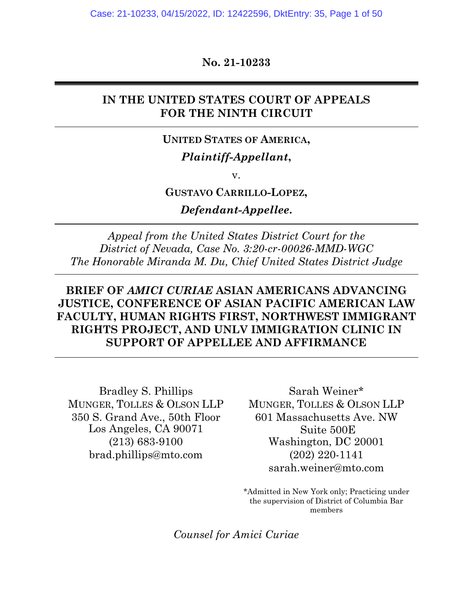**No. 21-10233**

### **IN THE UNITED STATES COURT OF APPEALS FOR THE NINTH CIRCUIT**

#### **UNITED STATES OF AMERICA,**

### *Plaintiff-Appellant***,**

v.

#### **GUSTAVO CARRILLO-LOPEZ,**

*Defendant-Appellee***.**

*Appeal from the United States District Court for the District of Nevada, Case No. 3:20-cr-00026-MMD-WGC The Honorable Miranda M. Du, Chief United States District Judge*

### **BRIEF OF** *AMICI CURIAE* **ASIAN AMERICANS ADVANCING JUSTICE, CONFERENCE OF ASIAN PACIFIC AMERICAN LAW FACULTY, HUMAN RIGHTS FIRST, NORTHWEST IMMIGRANT RIGHTS PROJECT, AND UNLV IMMIGRATION CLINIC IN SUPPORT OF APPELLEE AND AFFIRMANCE**

Bradley S. Phillips MUNGER, TOLLES & OLSON LLP 350 S. Grand Ave., 50th Floor Los Angeles, CA 90071 (213) 683-9100 brad.phillips@mto.com

Sarah Weiner\* MUNGER, TOLLES & OLSON LLP 601 Massachusetts Ave. NW Suite 500E Washington, DC 20001 (202) 220-1141 sarah.weiner@mto.com

\*Admitted in New York only; Practicing under the supervision of District of Columbia Bar members

*Counsel for Amici Curiae*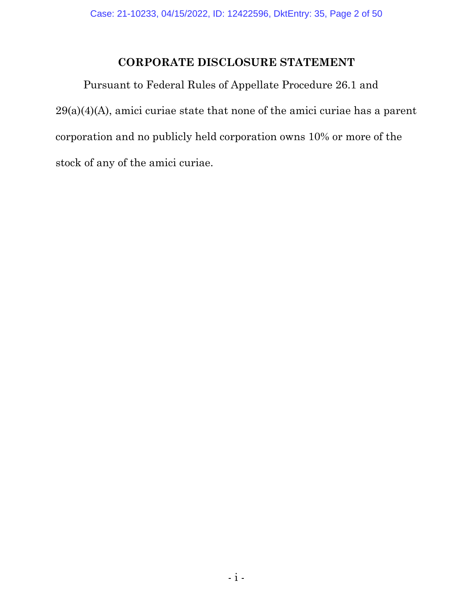## **CORPORATE DISCLOSURE STATEMENT**

Pursuant to Federal Rules of Appellate Procedure 26.1 and 29(a)(4)(A), amici curiae state that none of the amici curiae has a parent corporation and no publicly held corporation owns 10% or more of the stock of any of the amici curiae.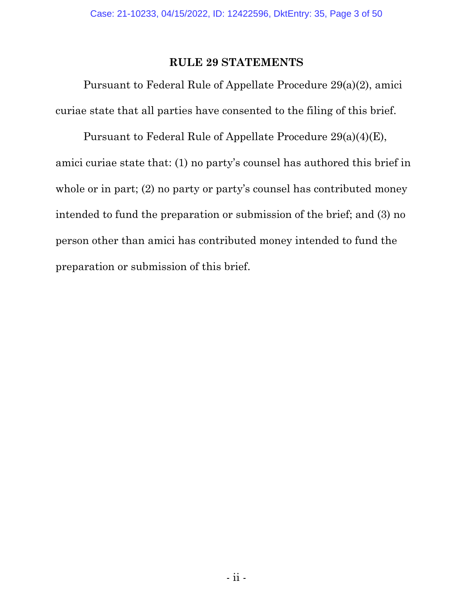#### **RULE 29 STATEMENTS**

Pursuant to Federal Rule of Appellate Procedure 29(a)(2), amici curiae state that all parties have consented to the filing of this brief.

Pursuant to Federal Rule of Appellate Procedure 29(a)(4)(E), amici curiae state that: (1) no party's counsel has authored this brief in whole or in part; (2) no party or party's counsel has contributed money intended to fund the preparation or submission of the brief; and (3) no person other than amici has contributed money intended to fund the preparation or submission of this brief.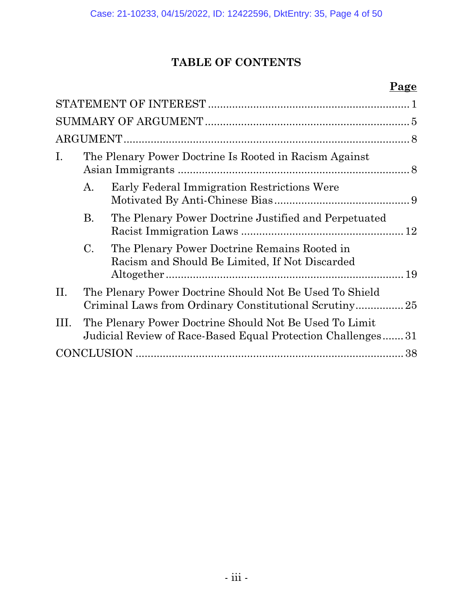# **TABLE OF CONTENTS**

# **Page**

| Ι.   | The Plenary Power Doctrine Is Rooted in Racism Against                                                                |                                                                                                |  |  |  |
|------|-----------------------------------------------------------------------------------------------------------------------|------------------------------------------------------------------------------------------------|--|--|--|
|      | Α.                                                                                                                    | Early Federal Immigration Restrictions Were                                                    |  |  |  |
|      | <b>B.</b>                                                                                                             | The Plenary Power Doctrine Justified and Perpetuated                                           |  |  |  |
|      | $C_{\cdot}$                                                                                                           | The Plenary Power Doctrine Remains Rooted in<br>Racism and Should Be Limited, If Not Discarded |  |  |  |
| II.  | The Plenary Power Doctrine Should Not Be Used To Shield<br>Criminal Laws from Ordinary Constitutional Scrutiny25      |                                                                                                |  |  |  |
| III. | The Plenary Power Doctrine Should Not Be Used To Limit<br>Judicial Review of Race-Based Equal Protection Challenges31 |                                                                                                |  |  |  |
|      | <b>CONCLUSION</b>                                                                                                     |                                                                                                |  |  |  |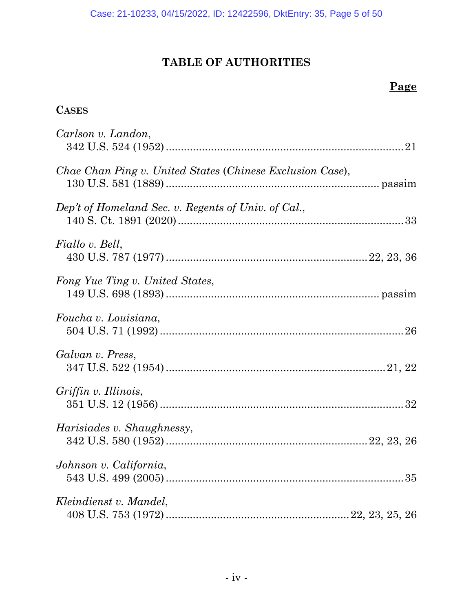# **TABLE OF AUTHORITIES**

# **Page**

### **CASES**

| Carlson v. Landon,                                        |
|-----------------------------------------------------------|
| Chae Chan Ping v. United States (Chinese Exclusion Case), |
| Dep't of Homeland Sec. v. Regents of Univ. of Cal.,       |
| Fiallo v. Bell,                                           |
| Fong Yue Ting v. United States,                           |
| Foucha v. Louisiana,                                      |
| Galvan v. Press,                                          |
| Griffin v. Illinois,                                      |
| Harisiades v. Shaughnessy,                                |
| Johnson v. California,                                    |
| Kleindienst v. Mandel,                                    |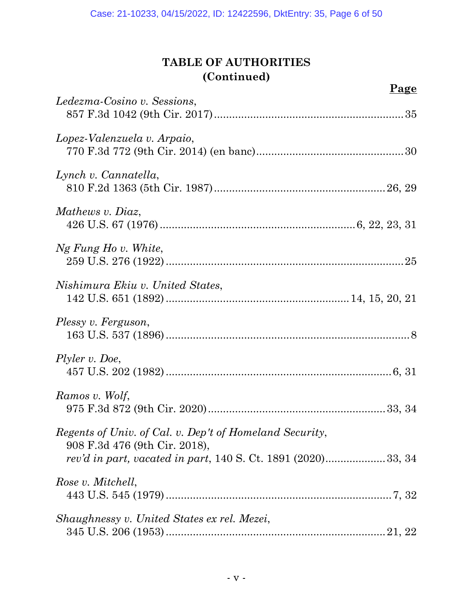| <u>Page</u>                                                                                                                                              |
|----------------------------------------------------------------------------------------------------------------------------------------------------------|
| Ledezma-Cosino v. Sessions,                                                                                                                              |
| Lopez-Valenzuela v. Arpaio,                                                                                                                              |
| Lynch v. Cannatella,                                                                                                                                     |
| Mathews v. Diaz,                                                                                                                                         |
| Ng Fung Ho v. White,                                                                                                                                     |
| Nishimura Ekiu v. United States,                                                                                                                         |
| Plessy v. Ferguson,                                                                                                                                      |
| Plyler v. Doe,                                                                                                                                           |
| Ramos v. Wolf,                                                                                                                                           |
| Regents of Univ. of Cal. v. Dep't of Homeland Security,<br>908 F.3d 476 (9th Cir. 2018),<br>rev'd in part, vacated in part, 140 S. Ct. 1891 (2020)33, 34 |
| Rose v. Mitchell,                                                                                                                                        |
| Shaughnessy v. United States ex rel. Mezei,                                                                                                              |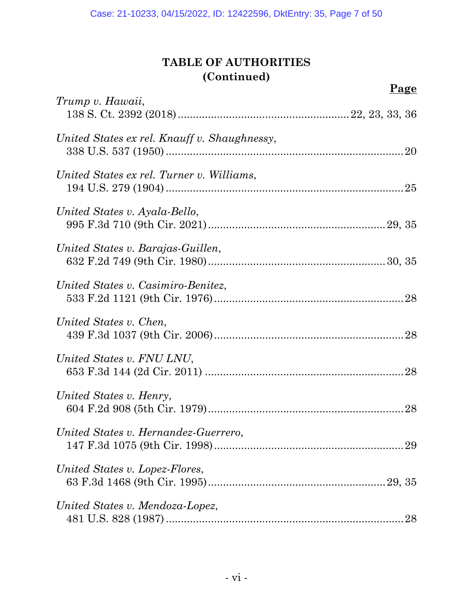| Trump v. Hawaii,                             |  |
|----------------------------------------------|--|
| United States ex rel. Knauff v. Shaughnessy, |  |
| United States ex rel. Turner v. Williams,    |  |
| United States v. Ayala-Bello,                |  |
| United States v. Barajas-Guillen,            |  |
| United States v. Casimiro-Benitez,           |  |
| United States v. Chen,                       |  |
| United States v. FNU LNU,                    |  |
| United States v. Henry,                      |  |
| United States v. Hernandez-Guerrero,         |  |
| United States v. Lopez-Flores,               |  |
| United States v. Mendoza-Lopez,              |  |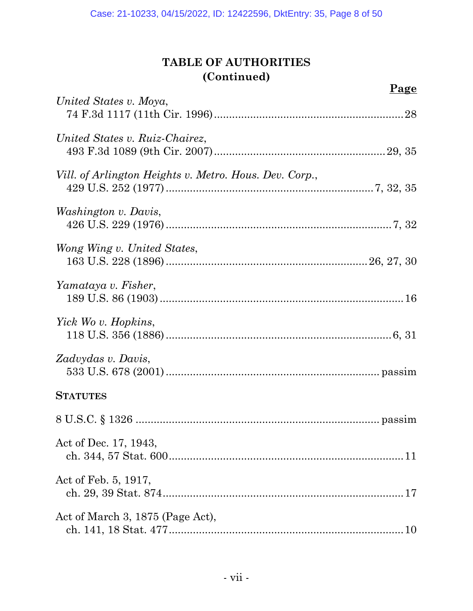| Page                                                   |
|--------------------------------------------------------|
| United States v. Moya,                                 |
| United States v. Ruiz-Chairez.                         |
| Vill. of Arlington Heights v. Metro. Hous. Dev. Corp., |
| <i>Washington v. Davis,</i>                            |
| Wong Wing v. United States,                            |
| Yamataya v. Fisher,                                    |
| Yick Wo v. Hopkins,                                    |
| Zadvydas v. Davis,                                     |
| <b>STATUTES</b>                                        |
|                                                        |
| Act of Dec. 17, 1943,                                  |
| Act of Feb. 5, 1917,                                   |
| Act of March 3, 1875 (Page Act),                       |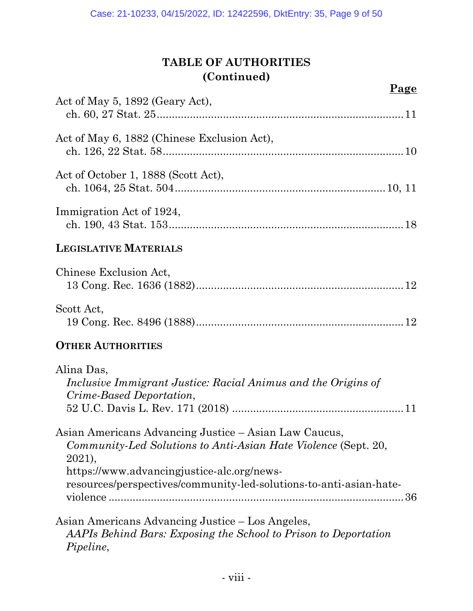| Page                                                                                                                                                                                                                                                  |
|-------------------------------------------------------------------------------------------------------------------------------------------------------------------------------------------------------------------------------------------------------|
| Act of May 5, 1892 (Geary Act),                                                                                                                                                                                                                       |
| Act of May 6, 1882 (Chinese Exclusion Act),                                                                                                                                                                                                           |
| Act of October 1, 1888 (Scott Act),                                                                                                                                                                                                                   |
| Immigration Act of 1924,                                                                                                                                                                                                                              |
| <b>LEGISLATIVE MATERIALS</b>                                                                                                                                                                                                                          |
| Chinese Exclusion Act,                                                                                                                                                                                                                                |
| Scott Act,                                                                                                                                                                                                                                            |
| <b>OTHER AUTHORITIES</b>                                                                                                                                                                                                                              |
| Alina Das,<br>Inclusive Immigrant Justice: Racial Animus and the Origins of<br>Crime-Based Deportation,                                                                                                                                               |
| Asian Americans Advancing Justice - Asian Law Caucus,<br>Community-Led Solutions to Anti-Asian Hate Violence (Sept. 20,<br>2021),<br>https://www.advancingjustice-alc.org/news-<br>resources/perspectives/community-led-solutions-to-anti-asian-hate- |
| Asian Americans Advancing Justice – Los Angeles,<br>AAPIs Behind Bars: Exposing the School to Prison to Deportation<br>Pipeline,                                                                                                                      |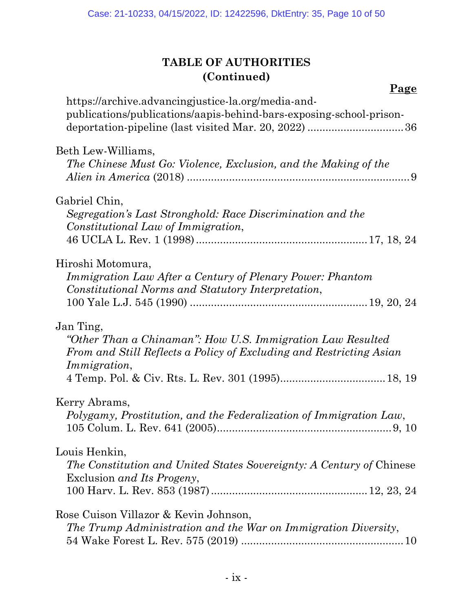| <u>Page</u>                                                                                                                                                           |
|-----------------------------------------------------------------------------------------------------------------------------------------------------------------------|
| https://archive.advancingjustice-la.org/media-and-<br>publications/publications/aapis-behind-bars-exposing-school-prison-                                             |
| Beth Lew-Williams,<br>The Chinese Must Go: Violence, Exclusion, and the Making of the                                                                                 |
| Gabriel Chin,<br>Segregation's Last Stronghold: Race Discrimination and the<br>Constitutional Law of Immigration,                                                     |
| Hiroshi Motomura,<br>Immigration Law After a Century of Plenary Power: Phantom<br>Constitutional Norms and Statutory Interpretation,                                  |
| Jan Ting,<br>"Other Than a Chinaman": How U.S. Immigration Law Resulted<br>From and Still Reflects a Policy of Excluding and Restricting Asian<br><i>Immigration,</i> |
| Kerry Abrams,<br>Polygamy, Prostitution, and the Federalization of Immigration Law,                                                                                   |
| Louis Henkin,<br><i>The Constitution and United States Sovereignty: A Century of Chinese</i><br>Exclusion and Its Progeny,                                            |
| Rose Cuison Villazor & Kevin Johnson,<br>The Trump Administration and the War on Immigration Diversity,                                                               |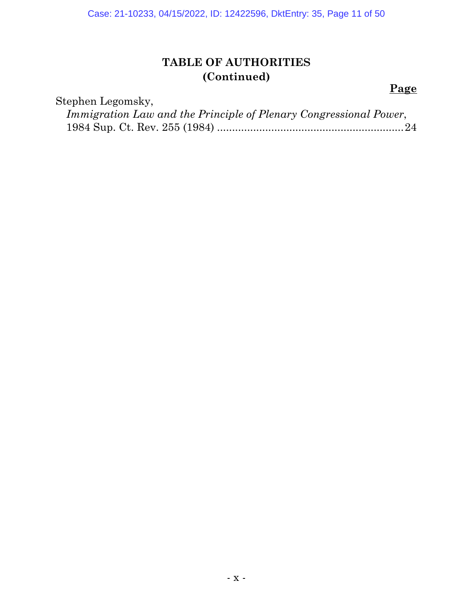## **Page**

Stephen Legomsky,

|  | Immigration Law and the Principle of Plenary Congressional Power, |  |  |  |
|--|-------------------------------------------------------------------|--|--|--|
|  |                                                                   |  |  |  |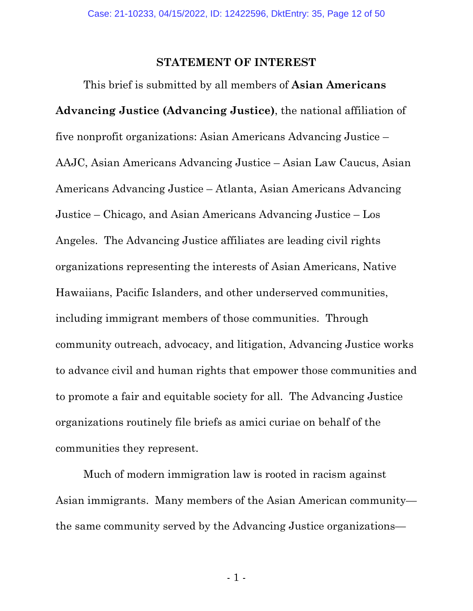#### **STATEMENT OF INTEREST**

This brief is submitted by all members of **Asian Americans Advancing Justice (Advancing Justice)**, the national affiliation of five nonprofit organizations: Asian Americans Advancing Justice – AAJC, Asian Americans Advancing Justice – Asian Law Caucus, Asian Americans Advancing Justice – Atlanta, Asian Americans Advancing Justice – Chicago, and Asian Americans Advancing Justice – Los Angeles. The Advancing Justice affiliates are leading civil rights organizations representing the interests of Asian Americans, Native Hawaiians, Pacific Islanders, and other underserved communities, including immigrant members of those communities. Through community outreach, advocacy, and litigation, Advancing Justice works to advance civil and human rights that empower those communities and to promote a fair and equitable society for all. The Advancing Justice organizations routinely file briefs as amici curiae on behalf of the communities they represent.

Much of modern immigration law is rooted in racism against Asian immigrants. Many members of the Asian American community the same community served by the Advancing Justice organizations—

 $-1$  -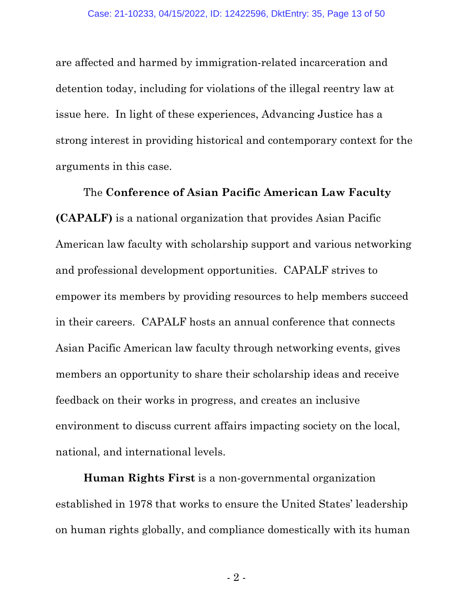are affected and harmed by immigration-related incarceration and detention today, including for violations of the illegal reentry law at issue here. In light of these experiences, Advancing Justice has a strong interest in providing historical and contemporary context for the arguments in this case.

The **Conference of Asian Pacific American Law Faculty (CAPALF)** is a national organization that provides Asian Pacific American law faculty with scholarship support and various networking and professional development opportunities. CAPALF strives to empower its members by providing resources to help members succeed in their careers. CAPALF hosts an annual conference that connects Asian Pacific American law faculty through networking events, gives members an opportunity to share their scholarship ideas and receive feedback on their works in progress, and creates an inclusive environment to discuss current affairs impacting society on the local, national, and international levels.

**Human Rights First** is a non-governmental organization established in 1978 that works to ensure the United States' leadership on human rights globally, and compliance domestically with its human

 $-2$  -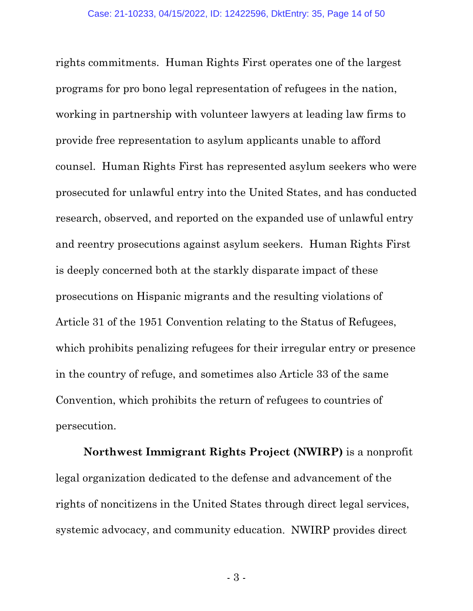rights commitments. Human Rights First operates one of the largest programs for pro bono legal representation of refugees in the nation, working in partnership with volunteer lawyers at leading law firms to provide free representation to asylum applicants unable to afford counsel. Human Rights First has represented asylum seekers who were prosecuted for unlawful entry into the United States, and has conducted research, observed, and reported on the expanded use of unlawful entry and reentry prosecutions against asylum seekers. Human Rights First is deeply concerned both at the starkly disparate impact of these prosecutions on Hispanic migrants and the resulting violations of Article 31 of the 1951 Convention relating to the Status of Refugees, which prohibits penalizing refugees for their irregular entry or presence in the country of refuge, and sometimes also Article 33 of the same Convention, which prohibits the return of refugees to countries of persecution.

**Northwest Immigrant Rights Project (NWIRP)** is a nonprofit legal organization dedicated to the defense and advancement of the rights of noncitizens in the United States through direct legal services, systemic advocacy, and community education. NWIRP provides direct

- 3 -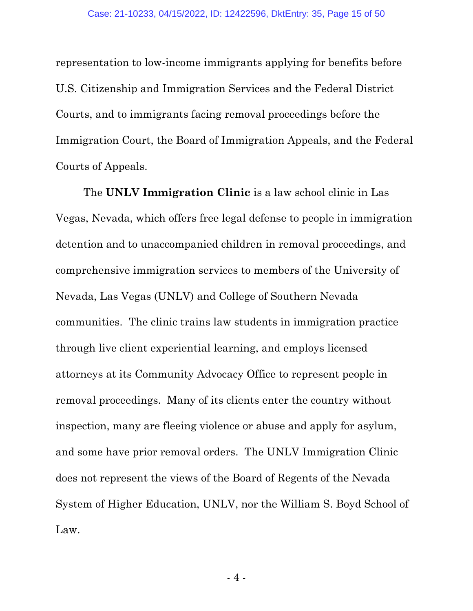representation to low-income immigrants applying for benefits before U.S. Citizenship and Immigration Services and the Federal District Courts, and to immigrants facing removal proceedings before the Immigration Court, the Board of Immigration Appeals, and the Federal Courts of Appeals.

The **UNLV Immigration Clinic** is a law school clinic in Las Vegas, Nevada, which offers free legal defense to people in immigration detention and to unaccompanied children in removal proceedings, and comprehensive immigration services to members of the University of Nevada, Las Vegas (UNLV) and College of Southern Nevada communities. The clinic trains law students in immigration practice through live client experiential learning, and employs licensed attorneys at its Community Advocacy Office to represent people in removal proceedings. Many of its clients enter the country without inspection, many are fleeing violence or abuse and apply for asylum, and some have prior removal orders. The UNLV Immigration Clinic does not represent the views of the Board of Regents of the Nevada System of Higher Education, UNLV, nor the William S. Boyd School of Law.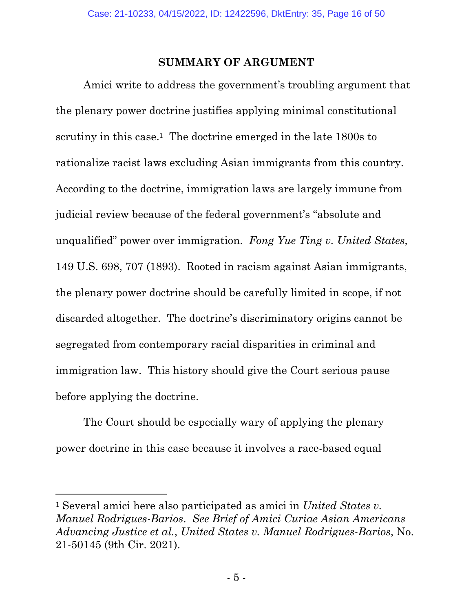#### **SUMMARY OF ARGUMENT**

Amici write to address the government's troubling argument that the plenary power doctrine justifies applying minimal constitutional scrutiny in this case.<sup>1</sup> The doctrine emerged in the late 1800s to rationalize racist laws excluding Asian immigrants from this country. According to the doctrine, immigration laws are largely immune from judicial review because of the federal government's "absolute and unqualified" power over immigration. *Fong Yue Ting v. United States*, 149 U.S. 698, 707 (1893). Rooted in racism against Asian immigrants, the plenary power doctrine should be carefully limited in scope, if not discarded altogether. The doctrine's discriminatory origins cannot be segregated from contemporary racial disparities in criminal and immigration law. This history should give the Court serious pause before applying the doctrine.

The Court should be especially wary of applying the plenary power doctrine in this case because it involves a race-based equal

 $\overline{a}$ 

<sup>1</sup> Several amici here also participated as amici in *United States v. Manuel Rodrigues-Barios*. *See Brief of Amici Curiae Asian Americans Advancing Justice et al.*, *United States v. Manuel Rodrigues-Barios*, No. 21-50145 (9th Cir. 2021).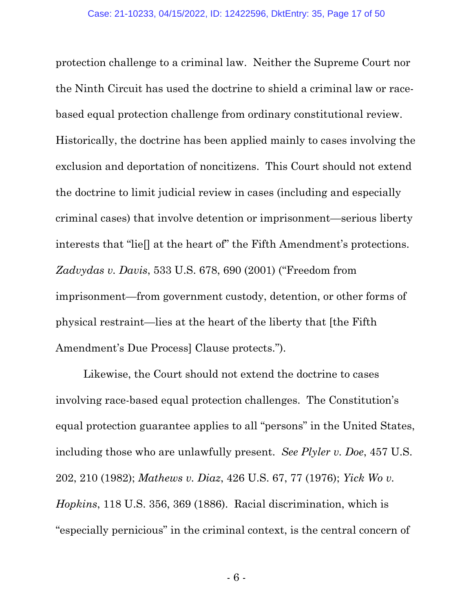protection challenge to a criminal law. Neither the Supreme Court nor the Ninth Circuit has used the doctrine to shield a criminal law or racebased equal protection challenge from ordinary constitutional review. Historically, the doctrine has been applied mainly to cases involving the exclusion and deportation of noncitizens. This Court should not extend the doctrine to limit judicial review in cases (including and especially criminal cases) that involve detention or imprisonment—serious liberty interests that "lie[] at the heart of" the Fifth Amendment's protections. *Zadvydas v. Davis*, 533 U.S. 678, 690 (2001) ("Freedom from imprisonment—from government custody, detention, or other forms of physical restraint—lies at the heart of the liberty that [the Fifth Amendment's Due Process] Clause protects.").

Likewise, the Court should not extend the doctrine to cases involving race-based equal protection challenges. The Constitution's equal protection guarantee applies to all "persons" in the United States, including those who are unlawfully present. *See Plyler v. Doe*, 457 U.S. 202, 210 (1982); *Mathews v. Diaz*, 426 U.S. 67, 77 (1976); *Yick Wo v. Hopkins*, 118 U.S. 356, 369 (1886). Racial discrimination, which is "especially pernicious" in the criminal context, is the central concern of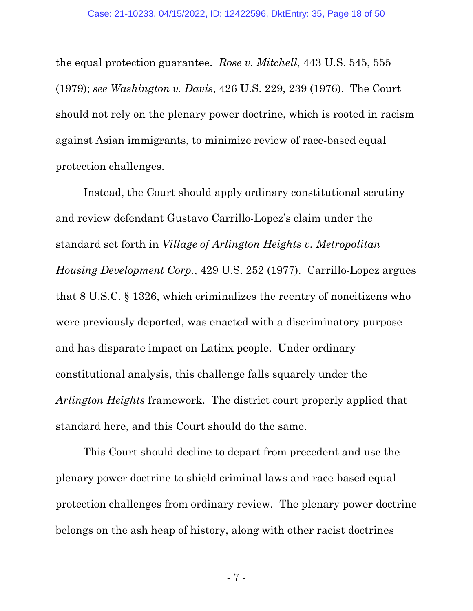the equal protection guarantee. *Rose v. Mitchell*, 443 U.S. 545, 555 (1979); *see Washington v. Davis*, 426 U.S. 229, 239 (1976). The Court should not rely on the plenary power doctrine, which is rooted in racism against Asian immigrants, to minimize review of race-based equal protection challenges.

Instead, the Court should apply ordinary constitutional scrutiny and review defendant Gustavo Carrillo-Lopez's claim under the standard set forth in *Village of Arlington Heights v. Metropolitan Housing Development Corp.*, 429 U.S. 252 (1977). Carrillo-Lopez argues that 8 U.S.C. § 1326, which criminalizes the reentry of noncitizens who were previously deported, was enacted with a discriminatory purpose and has disparate impact on Latinx people. Under ordinary constitutional analysis, this challenge falls squarely under the *Arlington Heights* framework. The district court properly applied that standard here, and this Court should do the same.

This Court should decline to depart from precedent and use the plenary power doctrine to shield criminal laws and race-based equal protection challenges from ordinary review. The plenary power doctrine belongs on the ash heap of history, along with other racist doctrines

- 7 -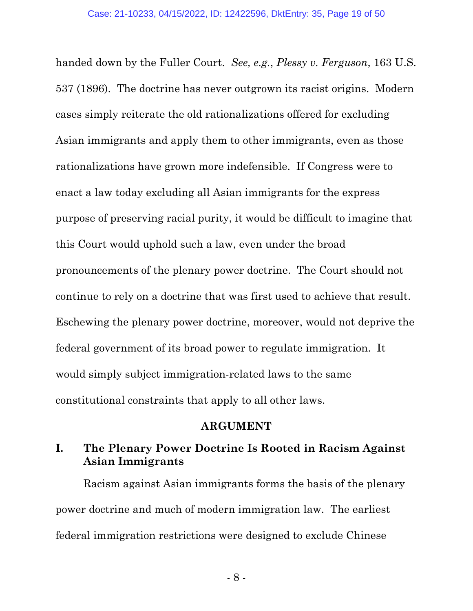handed down by the Fuller Court. *See, e.g.*, *Plessy v. Ferguson*, 163 U.S. 537 (1896). The doctrine has never outgrown its racist origins. Modern cases simply reiterate the old rationalizations offered for excluding Asian immigrants and apply them to other immigrants, even as those rationalizations have grown more indefensible. If Congress were to enact a law today excluding all Asian immigrants for the express purpose of preserving racial purity, it would be difficult to imagine that this Court would uphold such a law, even under the broad pronouncements of the plenary power doctrine. The Court should not continue to rely on a doctrine that was first used to achieve that result. Eschewing the plenary power doctrine, moreover, would not deprive the federal government of its broad power to regulate immigration. It would simply subject immigration-related laws to the same constitutional constraints that apply to all other laws.

#### **ARGUMENT**

## **I. The Plenary Power Doctrine Is Rooted in Racism Against Asian Immigrants**

Racism against Asian immigrants forms the basis of the plenary power doctrine and much of modern immigration law. The earliest federal immigration restrictions were designed to exclude Chinese

- 8 -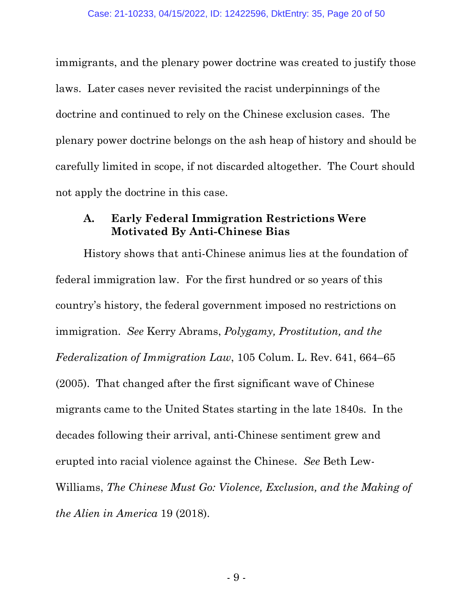immigrants, and the plenary power doctrine was created to justify those laws. Later cases never revisited the racist underpinnings of the doctrine and continued to rely on the Chinese exclusion cases. The plenary power doctrine belongs on the ash heap of history and should be carefully limited in scope, if not discarded altogether. The Court should not apply the doctrine in this case.

### **A. Early Federal Immigration Restrictions Were Motivated By Anti-Chinese Bias**

History shows that anti-Chinese animus lies at the foundation of federal immigration law. For the first hundred or so years of this country's history, the federal government imposed no restrictions on immigration. *See* Kerry Abrams, *Polygamy, Prostitution, and the Federalization of Immigration Law*, 105 Colum. L. Rev. 641, 664–65 (2005). That changed after the first significant wave of Chinese migrants came to the United States starting in the late 1840s. In the decades following their arrival, anti-Chinese sentiment grew and erupted into racial violence against the Chinese. *See* Beth Lew-Williams, *The Chinese Must Go: Violence, Exclusion, and the Making of the Alien in America* 19 (2018).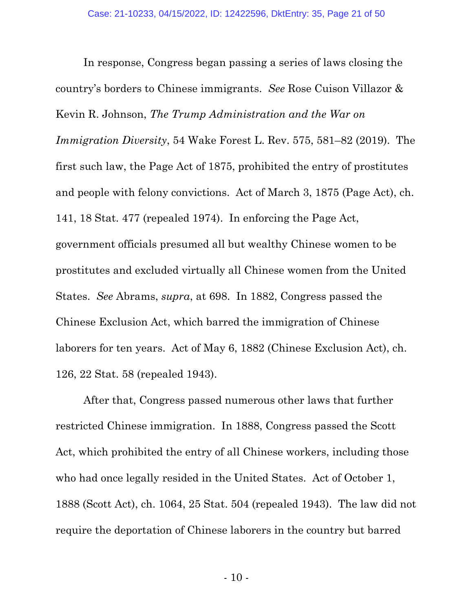In response, Congress began passing a series of laws closing the country's borders to Chinese immigrants. *See* Rose Cuison Villazor & Kevin R. Johnson, *The Trump Administration and the War on Immigration Diversity*, 54 Wake Forest L. Rev. 575, 581–82 (2019). The first such law, the Page Act of 1875, prohibited the entry of prostitutes and people with felony convictions. Act of March 3, 1875 (Page Act), ch. 141, 18 Stat. 477 (repealed 1974). In enforcing the Page Act, government officials presumed all but wealthy Chinese women to be prostitutes and excluded virtually all Chinese women from the United States. *See* Abrams, *supra*, at 698. In 1882, Congress passed the Chinese Exclusion Act, which barred the immigration of Chinese laborers for ten years. Act of May 6, 1882 (Chinese Exclusion Act), ch. 126, 22 Stat. 58 (repealed 1943).

After that, Congress passed numerous other laws that further restricted Chinese immigration. In 1888, Congress passed the Scott Act, which prohibited the entry of all Chinese workers, including those who had once legally resided in the United States. Act of October 1, 1888 (Scott Act), ch. 1064, 25 Stat. 504 (repealed 1943). The law did not require the deportation of Chinese laborers in the country but barred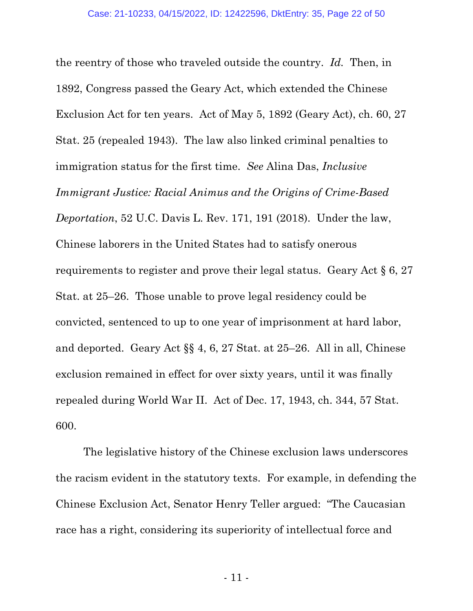the reentry of those who traveled outside the country. *Id.* Then, in 1892, Congress passed the Geary Act, which extended the Chinese Exclusion Act for ten years. Act of May 5, 1892 (Geary Act), ch. 60, 27 Stat. 25 (repealed 1943). The law also linked criminal penalties to immigration status for the first time. *See* Alina Das, *Inclusive Immigrant Justice: Racial Animus and the Origins of Crime-Based Deportation*, 52 U.C. Davis L. Rev. 171, 191 (2018). Under the law, Chinese laborers in the United States had to satisfy onerous requirements to register and prove their legal status. Geary Act § 6, 27 Stat. at 25–26. Those unable to prove legal residency could be convicted, sentenced to up to one year of imprisonment at hard labor, and deported. Geary Act §§ 4, 6, 27 Stat. at 25–26. All in all, Chinese exclusion remained in effect for over sixty years, until it was finally repealed during World War II. Act of Dec. 17, 1943, ch. 344, 57 Stat. 600.

The legislative history of the Chinese exclusion laws underscores the racism evident in the statutory texts. For example, in defending the Chinese Exclusion Act, Senator Henry Teller argued: "The Caucasian race has a right, considering its superiority of intellectual force and

- 11 -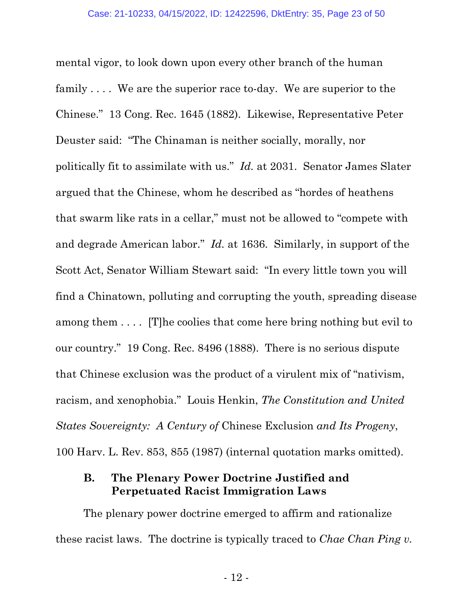mental vigor, to look down upon every other branch of the human family .... We are the superior race to-day. We are superior to the Chinese." 13 Cong. Rec. 1645 (1882). Likewise, Representative Peter Deuster said: "The Chinaman is neither socially, morally, nor politically fit to assimilate with us." *Id.* at 2031. Senator James Slater argued that the Chinese, whom he described as "hordes of heathens that swarm like rats in a cellar," must not be allowed to "compete with and degrade American labor." *Id.* at 1636. Similarly, in support of the Scott Act, Senator William Stewart said: "In every little town you will find a Chinatown, polluting and corrupting the youth, spreading disease among them . . . . [T]he coolies that come here bring nothing but evil to our country." 19 Cong. Rec. 8496 (1888). There is no serious dispute that Chinese exclusion was the product of a virulent mix of "nativism, racism, and xenophobia." Louis Henkin, *The Constitution and United States Sovereignty: A Century of* Chinese Exclusion *and Its Progeny*, 100 Harv. L. Rev. 853, 855 (1987) (internal quotation marks omitted).

### **B. The Plenary Power Doctrine Justified and Perpetuated Racist Immigration Laws**

The plenary power doctrine emerged to affirm and rationalize these racist laws. The doctrine is typically traced to *Chae Chan Ping v.*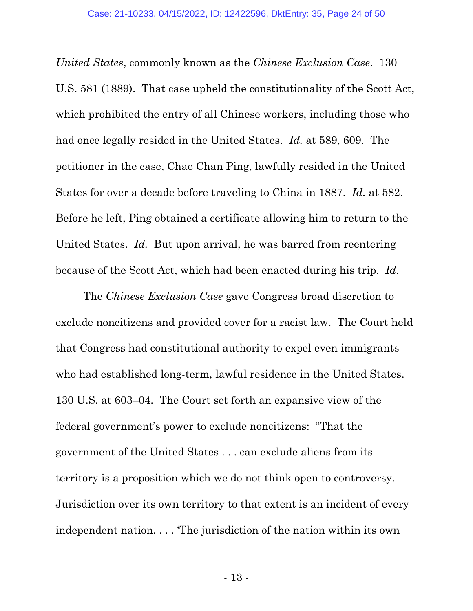*United States*, commonly known as the *Chinese Exclusion Case*. 130 U.S. 581 (1889). That case upheld the constitutionality of the Scott Act, which prohibited the entry of all Chinese workers, including those who had once legally resided in the United States. *Id.* at 589, 609. The petitioner in the case, Chae Chan Ping, lawfully resided in the United States for over a decade before traveling to China in 1887. *Id.* at 582. Before he left, Ping obtained a certificate allowing him to return to the United States. *Id.* But upon arrival, he was barred from reentering because of the Scott Act, which had been enacted during his trip. *Id.*

The *Chinese Exclusion Case* gave Congress broad discretion to exclude noncitizens and provided cover for a racist law. The Court held that Congress had constitutional authority to expel even immigrants who had established long-term, lawful residence in the United States. 130 U.S. at 603–04. The Court set forth an expansive view of the federal government's power to exclude noncitizens: "That the government of the United States . . . can exclude aliens from its territory is a proposition which we do not think open to controversy. Jurisdiction over its own territory to that extent is an incident of every independent nation. . . . 'The jurisdiction of the nation within its own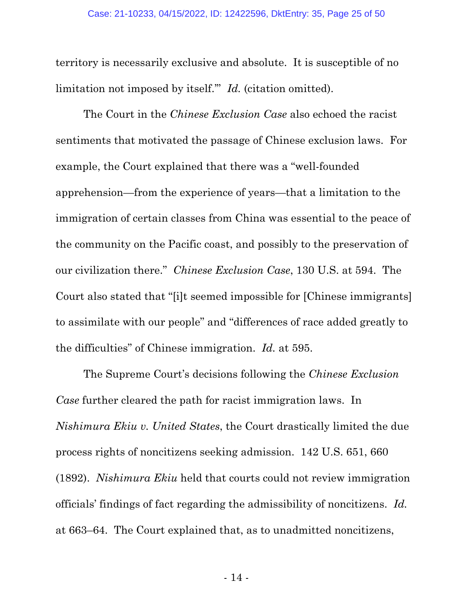territory is necessarily exclusive and absolute. It is susceptible of no limitation not imposed by itself.'" *Id.* (citation omitted).

The Court in the *Chinese Exclusion Case* also echoed the racist sentiments that motivated the passage of Chinese exclusion laws. For example, the Court explained that there was a "well-founded apprehension—from the experience of years—that a limitation to the immigration of certain classes from China was essential to the peace of the community on the Pacific coast, and possibly to the preservation of our civilization there." *Chinese Exclusion Case*, 130 U.S. at 594. The Court also stated that "[i]t seemed impossible for [Chinese immigrants] to assimilate with our people" and "differences of race added greatly to the difficulties" of Chinese immigration. *Id.* at 595.

The Supreme Court's decisions following the *Chinese Exclusion Case* further cleared the path for racist immigration laws. In *Nishimura Ekiu v. United States*, the Court drastically limited the due process rights of noncitizens seeking admission. 142 U.S. 651, 660 (1892). *Nishimura Ekiu* held that courts could not review immigration officials' findings of fact regarding the admissibility of noncitizens. *Id.*  at 663–64. The Court explained that, as to unadmitted noncitizens,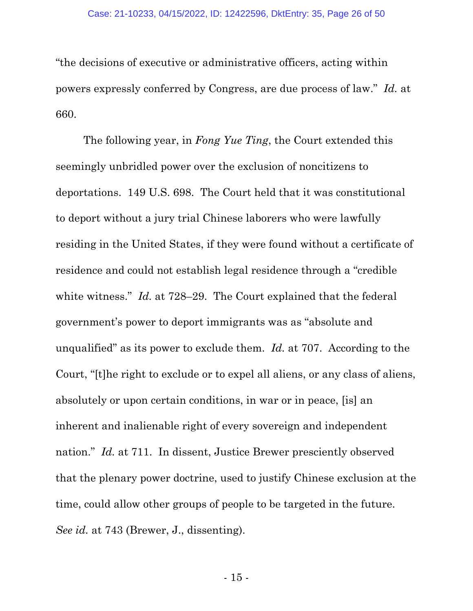"the decisions of executive or administrative officers, acting within powers expressly conferred by Congress, are due process of law." *Id.* at 660.

The following year, in *Fong Yue Ting*, the Court extended this seemingly unbridled power over the exclusion of noncitizens to deportations. 149 U.S. 698. The Court held that it was constitutional to deport without a jury trial Chinese laborers who were lawfully residing in the United States, if they were found without a certificate of residence and could not establish legal residence through a "credible white witness." *Id.* at 728–29. The Court explained that the federal government's power to deport immigrants was as "absolute and unqualified" as its power to exclude them. *Id.* at 707. According to the Court, "[t]he right to exclude or to expel all aliens, or any class of aliens, absolutely or upon certain conditions, in war or in peace, [is] an inherent and inalienable right of every sovereign and independent nation." *Id.* at 711. In dissent, Justice Brewer presciently observed that the plenary power doctrine, used to justify Chinese exclusion at the time, could allow other groups of people to be targeted in the future. *See id.* at 743 (Brewer, J., dissenting).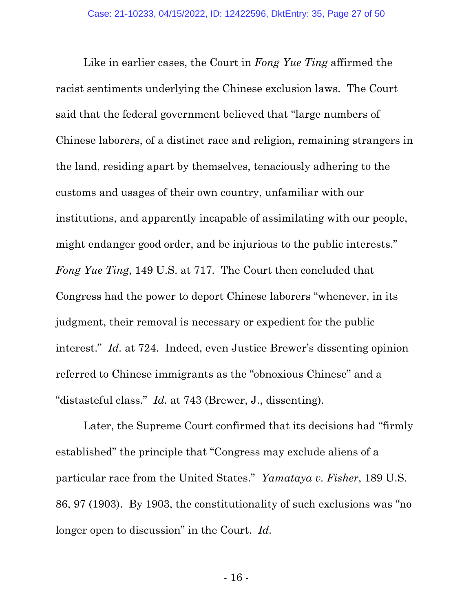Like in earlier cases, the Court in *Fong Yue Ting* affirmed the racist sentiments underlying the Chinese exclusion laws. The Court said that the federal government believed that "large numbers of Chinese laborers, of a distinct race and religion, remaining strangers in the land, residing apart by themselves, tenaciously adhering to the customs and usages of their own country, unfamiliar with our institutions, and apparently incapable of assimilating with our people, might endanger good order, and be injurious to the public interests." *Fong Yue Ting*, 149 U.S. at 717. The Court then concluded that Congress had the power to deport Chinese laborers "whenever, in its judgment, their removal is necessary or expedient for the public interest." *Id.* at 724. Indeed, even Justice Brewer's dissenting opinion referred to Chinese immigrants as the "obnoxious Chinese" and a "distasteful class." *Id.* at 743 (Brewer, J., dissenting).

Later, the Supreme Court confirmed that its decisions had "firmly established" the principle that "Congress may exclude aliens of a particular race from the United States." *Yamataya v. Fisher*, 189 U.S. 86, 97 (1903). By 1903, the constitutionality of such exclusions was "no longer open to discussion" in the Court. *Id.*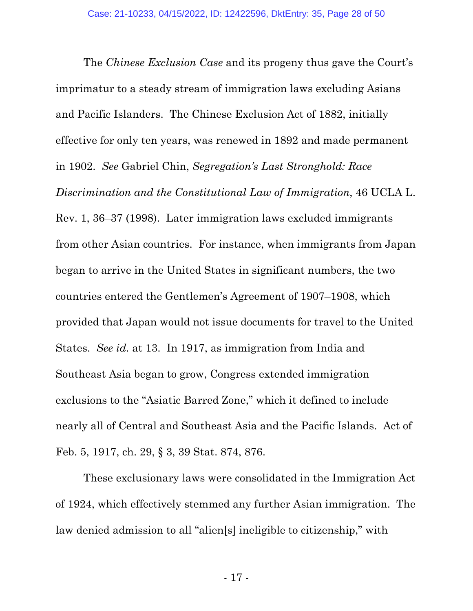The *Chinese Exclusion Case* and its progeny thus gave the Court's imprimatur to a steady stream of immigration laws excluding Asians and Pacific Islanders. The Chinese Exclusion Act of 1882, initially effective for only ten years, was renewed in 1892 and made permanent in 1902. *See* Gabriel Chin, *Segregation's Last Stronghold: Race Discrimination and the Constitutional Law of Immigration*, 46 UCLA L. Rev. 1, 36–37 (1998). Later immigration laws excluded immigrants from other Asian countries. For instance, when immigrants from Japan began to arrive in the United States in significant numbers, the two countries entered the Gentlemen's Agreement of 1907–1908, which provided that Japan would not issue documents for travel to the United States. *See id.* at 13. In 1917, as immigration from India and Southeast Asia began to grow, Congress extended immigration exclusions to the "Asiatic Barred Zone," which it defined to include nearly all of Central and Southeast Asia and the Pacific Islands. Act of Feb. 5, 1917, ch. 29, § 3, 39 Stat. 874, 876.

These exclusionary laws were consolidated in the Immigration Act of 1924, which effectively stemmed any further Asian immigration. The law denied admission to all "alien[s] ineligible to citizenship," with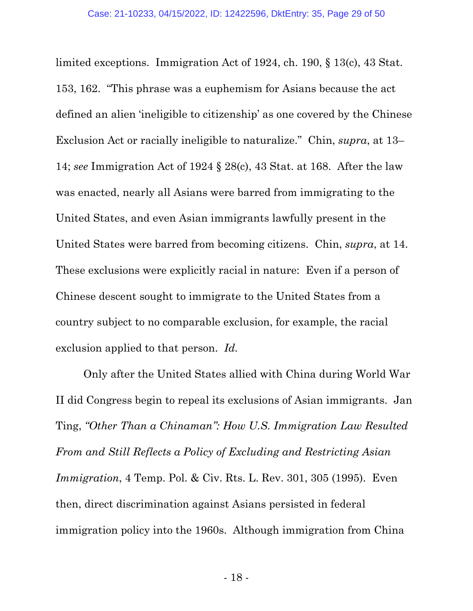limited exceptions. Immigration Act of 1924, ch. 190, § 13(c), 43 Stat. 153, 162. "This phrase was a euphemism for Asians because the act defined an alien 'ineligible to citizenship' as one covered by the Chinese Exclusion Act or racially ineligible to naturalize." Chin, *supra*, at 13– 14; *see* Immigration Act of 1924 § 28(c), 43 Stat. at 168. After the law was enacted, nearly all Asians were barred from immigrating to the United States, and even Asian immigrants lawfully present in the United States were barred from becoming citizens. Chin, *supra*, at 14. These exclusions were explicitly racial in nature: Even if a person of Chinese descent sought to immigrate to the United States from a country subject to no comparable exclusion, for example, the racial exclusion applied to that person. *Id.*

Only after the United States allied with China during World War II did Congress begin to repeal its exclusions of Asian immigrants. Jan Ting, *"Other Than a Chinaman": How U.S. Immigration Law Resulted From and Still Reflects a Policy of Excluding and Restricting Asian Immigration*, 4 Temp. Pol. & Civ. Rts. L. Rev. 301, 305 (1995). Even then, direct discrimination against Asians persisted in federal immigration policy into the 1960s. Although immigration from China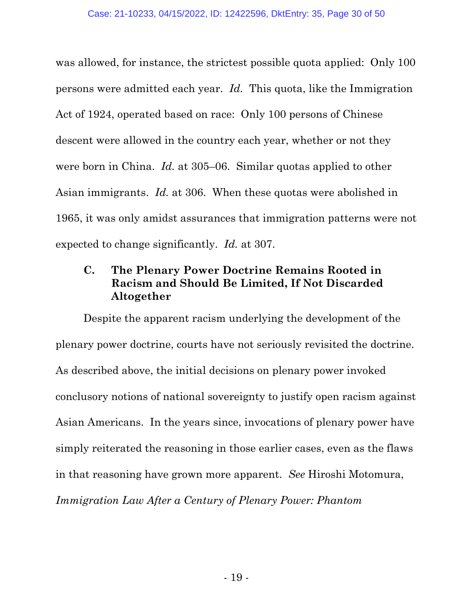was allowed, for instance, the strictest possible quota applied: Only 100 persons were admitted each year. *Id.* This quota, like the Immigration Act of 1924, operated based on race: Only 100 persons of Chinese descent were allowed in the country each year, whether or not they were born in China. *Id.* at 305–06. Similar quotas applied to other Asian immigrants. *Id.* at 306. When these quotas were abolished in 1965, it was only amidst assurances that immigration patterns were not expected to change significantly. *Id.* at 307.

## **C. The Plenary Power Doctrine Remains Rooted in Racism and Should Be Limited, If Not Discarded Altogether**

Despite the apparent racism underlying the development of the plenary power doctrine, courts have not seriously revisited the doctrine. As described above, the initial decisions on plenary power invoked conclusory notions of national sovereignty to justify open racism against Asian Americans. In the years since, invocations of plenary power have simply reiterated the reasoning in those earlier cases, even as the flaws in that reasoning have grown more apparent. *See* Hiroshi Motomura, *Immigration Law After a Century of Plenary Power: Phantom*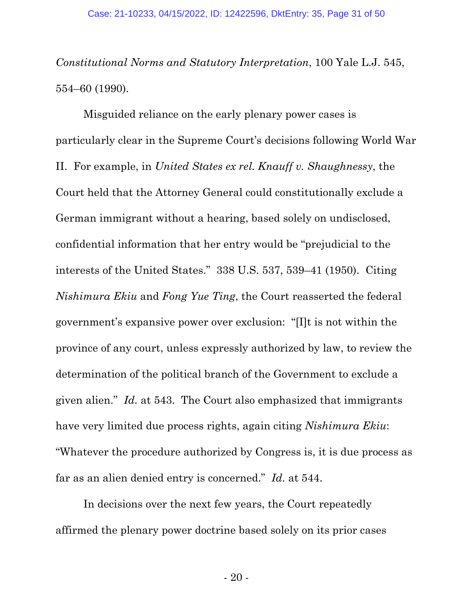*Constitutional Norms and Statutory Interpretation*, 100 Yale L.J. 545, 554–60 (1990).

Misguided reliance on the early plenary power cases is particularly clear in the Supreme Court's decisions following World War II. For example, in *United States ex rel. Knauff v. Shaughnessy*, the Court held that the Attorney General could constitutionally exclude a German immigrant without a hearing, based solely on undisclosed, confidential information that her entry would be "prejudicial to the interests of the United States." 338 U.S. 537, 539–41 (1950). Citing *Nishimura Ekiu* and *Fong Yue Ting*, the Court reasserted the federal government's expansive power over exclusion: "[I]t is not within the province of any court, unless expressly authorized by law, to review the determination of the political branch of the Government to exclude a given alien." *Id.* at 543. The Court also emphasized that immigrants have very limited due process rights, again citing *Nishimura Ekiu*: "Whatever the procedure authorized by Congress is, it is due process as far as an alien denied entry is concerned." *Id.* at 544.

In decisions over the next few years, the Court repeatedly affirmed the plenary power doctrine based solely on its prior cases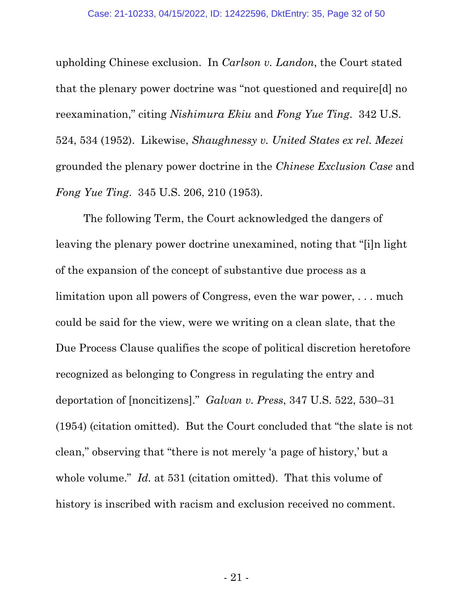upholding Chinese exclusion. In *Carlson v. Landon*, the Court stated that the plenary power doctrine was "not questioned and require[d] no reexamination," citing *Nishimura Ekiu* and *Fong Yue Ting*. 342 U.S. 524, 534 (1952). Likewise, *Shaughnessy v. United States ex rel. Mezei*  grounded the plenary power doctrine in the *Chinese Exclusion Case* and *Fong Yue Ting*. 345 U.S. 206, 210 (1953).

The following Term, the Court acknowledged the dangers of leaving the plenary power doctrine unexamined, noting that "[i]n light of the expansion of the concept of substantive due process as a limitation upon all powers of Congress, even the war power, . . . much could be said for the view, were we writing on a clean slate, that the Due Process Clause qualifies the scope of political discretion heretofore recognized as belonging to Congress in regulating the entry and deportation of [noncitizens]." *Galvan v. Press*, 347 U.S. 522, 530–31 (1954) (citation omitted). But the Court concluded that "the slate is not clean," observing that "there is not merely 'a page of history,' but a whole volume." *Id.* at 531 (citation omitted). That this volume of history is inscribed with racism and exclusion received no comment.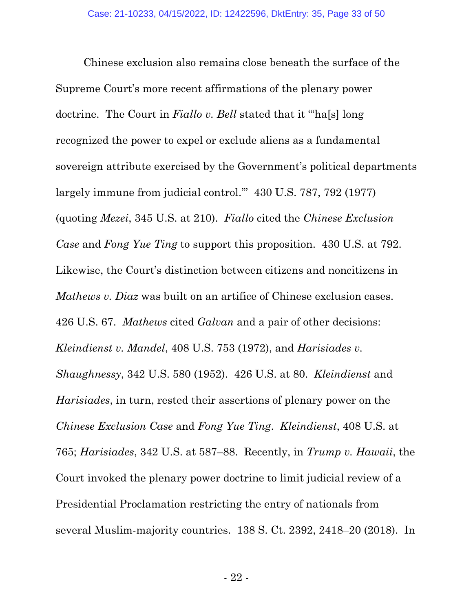Chinese exclusion also remains close beneath the surface of the Supreme Court's more recent affirmations of the plenary power doctrine. The Court in *Fiallo v. Bell* stated that it "'ha[s] long recognized the power to expel or exclude aliens as a fundamental sovereign attribute exercised by the Government's political departments largely immune from judicial control.'" 430 U.S. 787, 792 (1977) (quoting *Mezei*, 345 U.S. at 210). *Fiallo* cited the *Chinese Exclusion Case* and *Fong Yue Ting* to support this proposition. 430 U.S. at 792. Likewise, the Court's distinction between citizens and noncitizens in *Mathews v. Diaz* was built on an artifice of Chinese exclusion cases. 426 U.S. 67. *Mathews* cited *Galvan* and a pair of other decisions: *Kleindienst v. Mandel*, 408 U.S. 753 (1972), and *Harisiades v. Shaughnessy*, 342 U.S. 580 (1952). 426 U.S. at 80. *Kleindienst* and *Harisiades*, in turn, rested their assertions of plenary power on the *Chinese Exclusion Case* and *Fong Yue Ting*. *Kleindienst*, 408 U.S. at 765; *Harisiades*, 342 U.S. at 587–88. Recently, in *Trump v. Hawaii*, the Court invoked the plenary power doctrine to limit judicial review of a Presidential Proclamation restricting the entry of nationals from several Muslim-majority countries. 138 S. Ct. 2392, 2418–20 (2018). In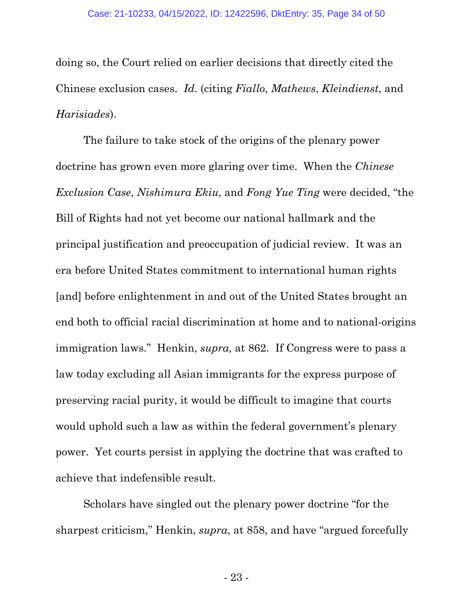doing so, the Court relied on earlier decisions that directly cited the Chinese exclusion cases. *Id.* (citing *Fiallo*, *Mathews*, *Kleindienst*, and *Harisiades*).

The failure to take stock of the origins of the plenary power doctrine has grown even more glaring over time. When the *Chinese Exclusion Case*, *Nishimura Ekiu*, and *Fong Yue Ting* were decided, "the Bill of Rights had not yet become our national hallmark and the principal justification and preoccupation of judicial review. It was an era before United States commitment to international human rights [and] before enlightenment in and out of the United States brought an end both to official racial discrimination at home and to national-origins immigration laws." Henkin, *supra,* at 862. If Congress were to pass a law today excluding all Asian immigrants for the express purpose of preserving racial purity, it would be difficult to imagine that courts would uphold such a law as within the federal government's plenary power. Yet courts persist in applying the doctrine that was crafted to achieve that indefensible result.

Scholars have singled out the plenary power doctrine "for the sharpest criticism," Henkin, *supra*, at 858, and have "argued forcefully

- 23 -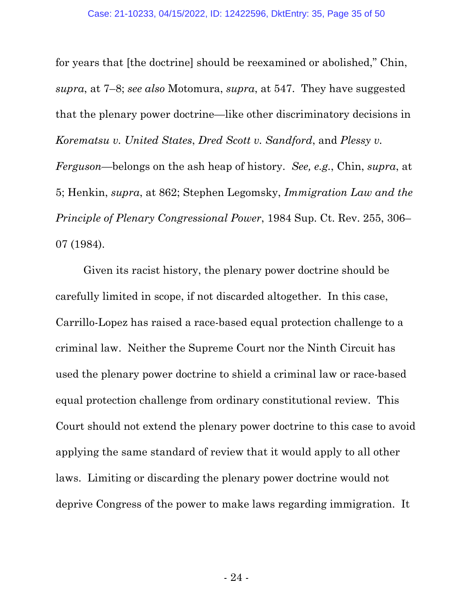for years that [the doctrine] should be reexamined or abolished," Chin, *supra*, at 7–8; *see also* Motomura, *supra*, at 547. They have suggested that the plenary power doctrine—like other discriminatory decisions in *Korematsu v. United States*, *Dred Scott v. Sandford*, and *Plessy v. Ferguson*—belongs on the ash heap of history. *See, e.g.*, Chin, *supra*, at 5; Henkin, *supra*, at 862; Stephen Legomsky, *Immigration Law and the Principle of Plenary Congressional Power*, 1984 Sup. Ct. Rev. 255, 306– 07 (1984).

Given its racist history, the plenary power doctrine should be carefully limited in scope, if not discarded altogether. In this case, Carrillo-Lopez has raised a race-based equal protection challenge to a criminal law. Neither the Supreme Court nor the Ninth Circuit has used the plenary power doctrine to shield a criminal law or race-based equal protection challenge from ordinary constitutional review. This Court should not extend the plenary power doctrine to this case to avoid applying the same standard of review that it would apply to all other laws. Limiting or discarding the plenary power doctrine would not deprive Congress of the power to make laws regarding immigration. It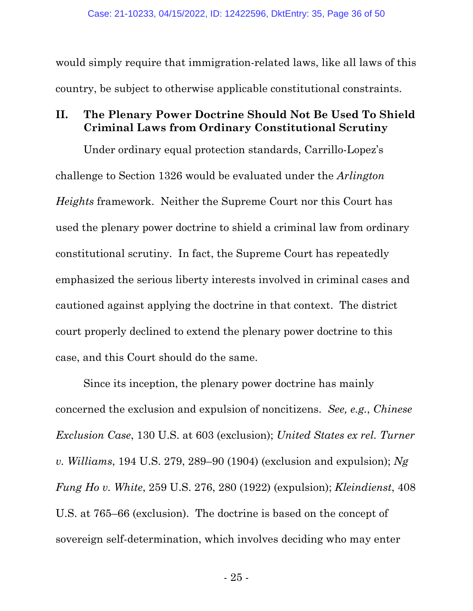would simply require that immigration-related laws, like all laws of this country, be subject to otherwise applicable constitutional constraints.

### **II. The Plenary Power Doctrine Should Not Be Used To Shield Criminal Laws from Ordinary Constitutional Scrutiny**

Under ordinary equal protection standards, Carrillo-Lopez's challenge to Section 1326 would be evaluated under the *Arlington Heights* framework. Neither the Supreme Court nor this Court has used the plenary power doctrine to shield a criminal law from ordinary constitutional scrutiny. In fact, the Supreme Court has repeatedly emphasized the serious liberty interests involved in criminal cases and cautioned against applying the doctrine in that context. The district court properly declined to extend the plenary power doctrine to this case, and this Court should do the same.

Since its inception, the plenary power doctrine has mainly concerned the exclusion and expulsion of noncitizens. *See, e.g.*, *Chinese Exclusion Case*, 130 U.S. at 603 (exclusion); *United States ex rel. Turner v. Williams*, 194 U.S. 279, 289–90 (1904) (exclusion and expulsion); *Ng Fung Ho v. White*, 259 U.S. 276, 280 (1922) (expulsion); *Kleindienst*, 408 U.S. at 765–66 (exclusion). The doctrine is based on the concept of sovereign self-determination, which involves deciding who may enter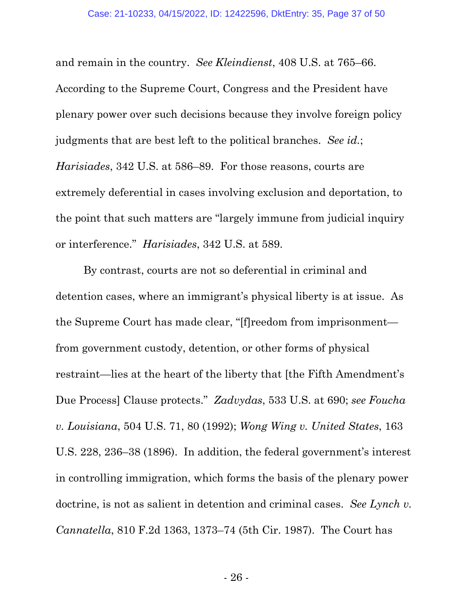and remain in the country. *See Kleindienst*, 408 U.S. at 765–66. According to the Supreme Court, Congress and the President have plenary power over such decisions because they involve foreign policy judgments that are best left to the political branches. *See id.*; *Harisiades*, 342 U.S. at 586–89. For those reasons, courts are extremely deferential in cases involving exclusion and deportation, to the point that such matters are "largely immune from judicial inquiry or interference." *Harisiades*, 342 U.S. at 589.

By contrast, courts are not so deferential in criminal and detention cases, where an immigrant's physical liberty is at issue. As the Supreme Court has made clear, "[f]reedom from imprisonment from government custody, detention, or other forms of physical restraint—lies at the heart of the liberty that [the Fifth Amendment's Due Process] Clause protects." *Zadvydas*, 533 U.S. at 690; *see Foucha v. Louisiana*, 504 U.S. 71, 80 (1992); *Wong Wing v. United States*, 163 U.S. 228, 236–38 (1896). In addition, the federal government's interest in controlling immigration, which forms the basis of the plenary power doctrine, is not as salient in detention and criminal cases. *See Lynch v. Cannatella*, 810 F.2d 1363, 1373–74 (5th Cir. 1987). The Court has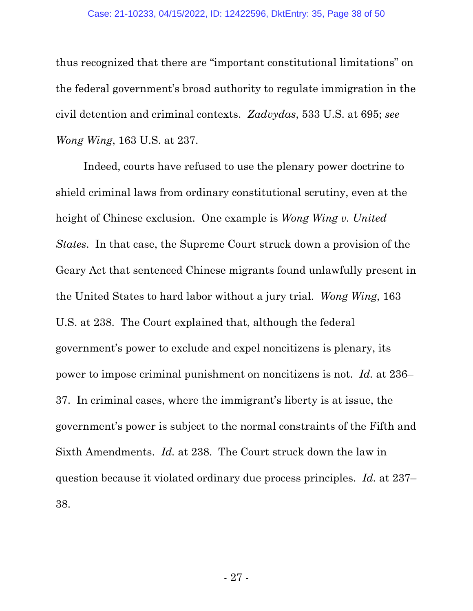#### Case: 21-10233, 04/15/2022, ID: 12422596, DktEntry: 35, Page 38 of 50

thus recognized that there are "important constitutional limitations" on the federal government's broad authority to regulate immigration in the civil detention and criminal contexts. *Zadvydas*, 533 U.S. at 695; *see Wong Wing*, 163 U.S. at 237.

Indeed, courts have refused to use the plenary power doctrine to shield criminal laws from ordinary constitutional scrutiny, even at the height of Chinese exclusion. One example is *Wong Wing v. United States*. In that case, the Supreme Court struck down a provision of the Geary Act that sentenced Chinese migrants found unlawfully present in the United States to hard labor without a jury trial. *Wong Wing*, 163 U.S. at 238. The Court explained that, although the federal government's power to exclude and expel noncitizens is plenary, its power to impose criminal punishment on noncitizens is not. *Id.* at 236– 37. In criminal cases, where the immigrant's liberty is at issue, the government's power is subject to the normal constraints of the Fifth and Sixth Amendments. *Id.* at 238. The Court struck down the law in question because it violated ordinary due process principles. *Id.* at 237– 38.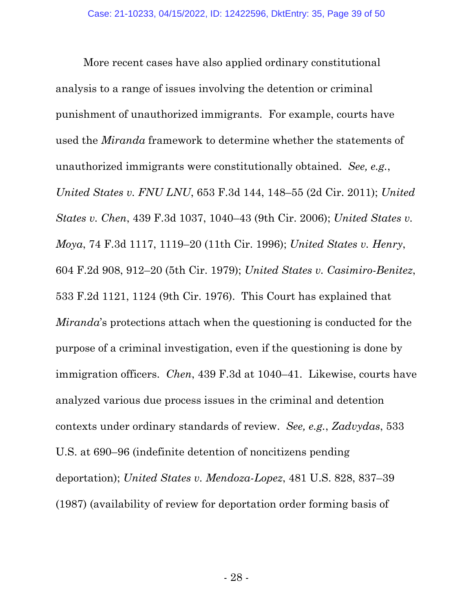More recent cases have also applied ordinary constitutional analysis to a range of issues involving the detention or criminal punishment of unauthorized immigrants. For example, courts have used the *Miranda* framework to determine whether the statements of unauthorized immigrants were constitutionally obtained. *See, e.g.*, *United States v. FNU LNU*, 653 F.3d 144, 148–55 (2d Cir. 2011); *United States v. Chen*, 439 F.3d 1037, 1040–43 (9th Cir. 2006); *United States v. Moya*, 74 F.3d 1117, 1119–20 (11th Cir. 1996); *United States v. Henry*, 604 F.2d 908, 912–20 (5th Cir. 1979); *United States v. Casimiro-Benitez*, 533 F.2d 1121, 1124 (9th Cir. 1976). This Court has explained that *Miranda*'s protections attach when the questioning is conducted for the purpose of a criminal investigation, even if the questioning is done by immigration officers. *Chen*, 439 F.3d at 1040–41. Likewise, courts have analyzed various due process issues in the criminal and detention contexts under ordinary standards of review. *See, e.g.*, *Zadvydas*, 533 U.S. at 690–96 (indefinite detention of noncitizens pending deportation); *United States v. Mendoza-Lopez*, 481 U.S. 828, 837–39 (1987) (availability of review for deportation order forming basis of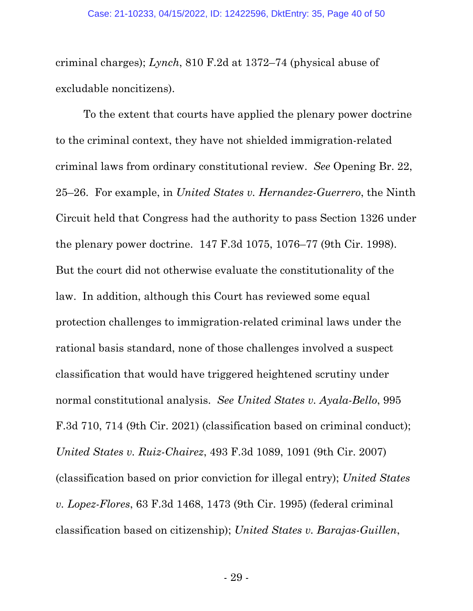criminal charges); *Lynch*, 810 F.2d at 1372–74 (physical abuse of excludable noncitizens).

To the extent that courts have applied the plenary power doctrine to the criminal context, they have not shielded immigration-related criminal laws from ordinary constitutional review. *See* Opening Br. 22, 25–26. For example, in *United States v. Hernandez-Guerrero*, the Ninth Circuit held that Congress had the authority to pass Section 1326 under the plenary power doctrine. 147 F.3d 1075, 1076–77 (9th Cir. 1998). But the court did not otherwise evaluate the constitutionality of the law. In addition, although this Court has reviewed some equal protection challenges to immigration-related criminal laws under the rational basis standard, none of those challenges involved a suspect classification that would have triggered heightened scrutiny under normal constitutional analysis. *See United States v. Ayala-Bello*, 995 F.3d 710, 714 (9th Cir. 2021) (classification based on criminal conduct); *United States v. Ruiz-Chairez*, 493 F.3d 1089, 1091 (9th Cir. 2007) (classification based on prior conviction for illegal entry); *United States v. Lopez-Flores*, 63 F.3d 1468, 1473 (9th Cir. 1995) (federal criminal classification based on citizenship); *United States v. Barajas-Guillen*,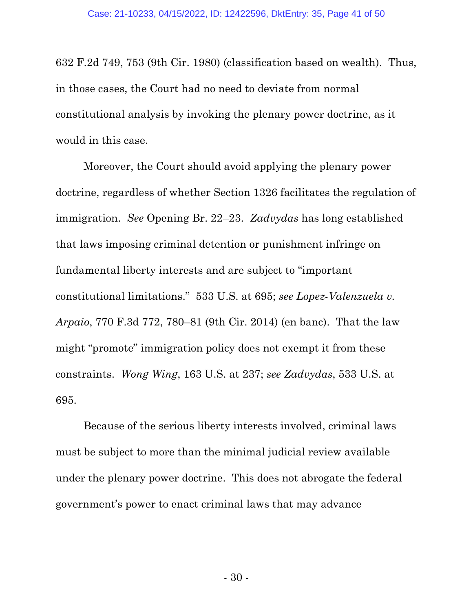632 F.2d 749, 753 (9th Cir. 1980) (classification based on wealth). Thus, in those cases, the Court had no need to deviate from normal constitutional analysis by invoking the plenary power doctrine, as it would in this case.

 Moreover, the Court should avoid applying the plenary power doctrine, regardless of whether Section 1326 facilitates the regulation of immigration. *See* Opening Br. 22–23. *Zadvydas* has long established that laws imposing criminal detention or punishment infringe on fundamental liberty interests and are subject to "important constitutional limitations." 533 U.S. at 695; *see Lopez-Valenzuela v. Arpaio*, 770 F.3d 772, 780–81 (9th Cir. 2014) (en banc). That the law might "promote" immigration policy does not exempt it from these constraints. *Wong Wing*, 163 U.S. at 237; *see Zadvydas*, 533 U.S. at 695.

Because of the serious liberty interests involved, criminal laws must be subject to more than the minimal judicial review available under the plenary power doctrine. This does not abrogate the federal government's power to enact criminal laws that may advance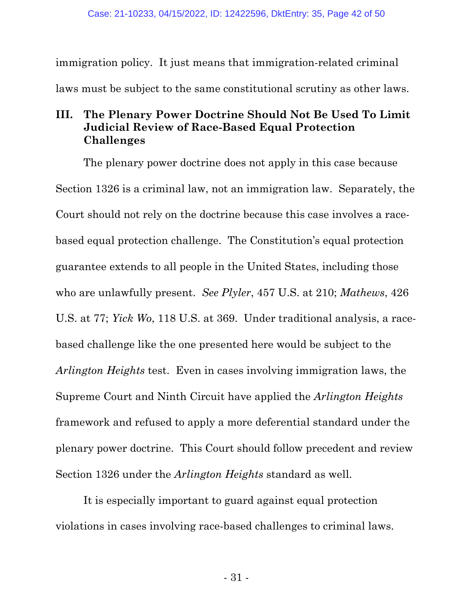immigration policy. It just means that immigration-related criminal laws must be subject to the same constitutional scrutiny as other laws.

## **III. The Plenary Power Doctrine Should Not Be Used To Limit Judicial Review of Race-Based Equal Protection Challenges**

The plenary power doctrine does not apply in this case because Section 1326 is a criminal law, not an immigration law. Separately, the Court should not rely on the doctrine because this case involves a racebased equal protection challenge. The Constitution's equal protection guarantee extends to all people in the United States, including those who are unlawfully present. *See Plyler*, 457 U.S. at 210; *Mathews*, 426 U.S. at 77; *Yick Wo*, 118 U.S. at 369. Under traditional analysis, a racebased challenge like the one presented here would be subject to the *Arlington Heights* test. Even in cases involving immigration laws, the Supreme Court and Ninth Circuit have applied the *Arlington Heights*  framework and refused to apply a more deferential standard under the plenary power doctrine. This Court should follow precedent and review Section 1326 under the *Arlington Heights* standard as well.

It is especially important to guard against equal protection violations in cases involving race-based challenges to criminal laws.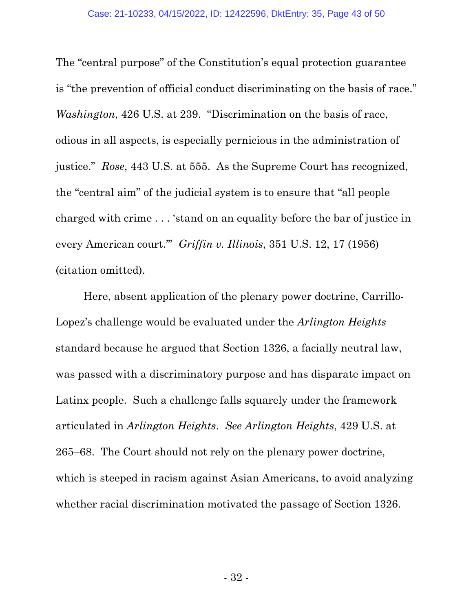The "central purpose" of the Constitution's equal protection guarantee is "the prevention of official conduct discriminating on the basis of race." *Washington*, 426 U.S. at 239. "Discrimination on the basis of race, odious in all aspects, is especially pernicious in the administration of justice." *Rose*, 443 U.S. at 555. As the Supreme Court has recognized, the "central aim" of the judicial system is to ensure that "all people charged with crime . . . 'stand on an equality before the bar of justice in every American court.'" *Griffin v. Illinois*, 351 U.S. 12, 17 (1956) (citation omitted).

Here, absent application of the plenary power doctrine, Carrillo-Lopez's challenge would be evaluated under the *Arlington Heights*  standard because he argued that Section 1326, a facially neutral law, was passed with a discriminatory purpose and has disparate impact on Latinx people. Such a challenge falls squarely under the framework articulated in *Arlington Heights*. *See Arlington Heights*, 429 U.S. at 265–68. The Court should not rely on the plenary power doctrine, which is steeped in racism against Asian Americans, to avoid analyzing whether racial discrimination motivated the passage of Section 1326.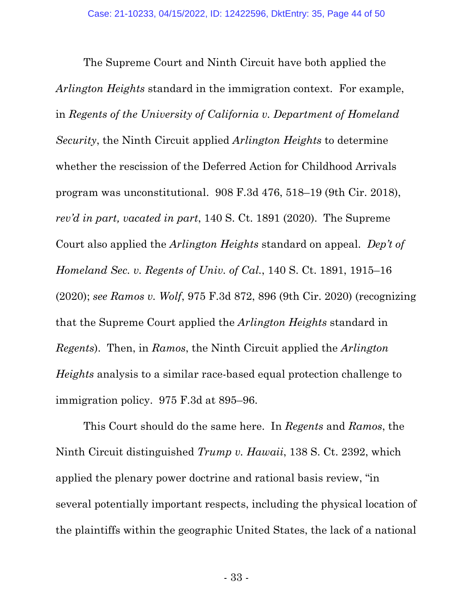The Supreme Court and Ninth Circuit have both applied the *Arlington Heights* standard in the immigration context. For example, in *Regents of the University of California v. Department of Homeland Security*, the Ninth Circuit applied *Arlington Heights* to determine whether the rescission of the Deferred Action for Childhood Arrivals program was unconstitutional. 908 F.3d 476, 518–19 (9th Cir. 2018), *rev'd in part, vacated in part*, 140 S. Ct. 1891 (2020). The Supreme Court also applied the *Arlington Heights* standard on appeal. *Dep't of Homeland Sec. v. Regents of Univ. of Cal.*, 140 S. Ct. 1891, 1915–16 (2020); *see Ramos v. Wolf*, 975 F.3d 872, 896 (9th Cir. 2020) (recognizing that the Supreme Court applied the *Arlington Heights* standard in *Regents*). Then, in *Ramos*, the Ninth Circuit applied the *Arlington Heights* analysis to a similar race-based equal protection challenge to immigration policy. 975 F.3d at 895–96.

This Court should do the same here. In *Regents* and *Ramos*, the Ninth Circuit distinguished *Trump v. Hawaii*, 138 S. Ct. 2392, which applied the plenary power doctrine and rational basis review, "in several potentially important respects, including the physical location of the plaintiffs within the geographic United States, the lack of a national

- 33 -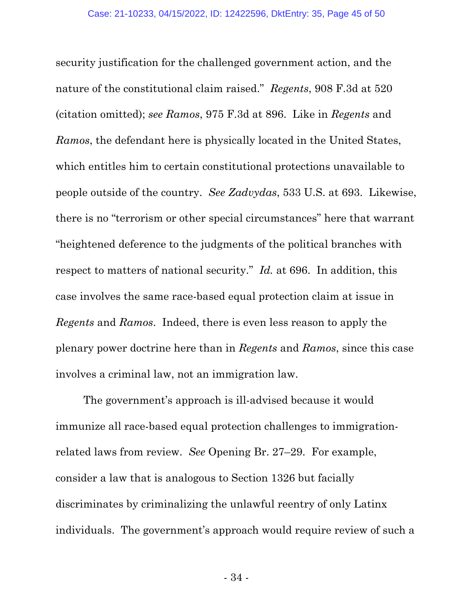security justification for the challenged government action, and the nature of the constitutional claim raised." *Regents*, 908 F.3d at 520 (citation omitted); *see Ramos*, 975 F.3d at 896. Like in *Regents* and *Ramos*, the defendant here is physically located in the United States, which entitles him to certain constitutional protections unavailable to people outside of the country. *See Zadvydas*, 533 U.S. at 693. Likewise, there is no "terrorism or other special circumstances" here that warrant "heightened deference to the judgments of the political branches with respect to matters of national security." *Id.* at 696. In addition, this case involves the same race-based equal protection claim at issue in *Regents* and *Ramos*. Indeed, there is even less reason to apply the plenary power doctrine here than in *Regents* and *Ramos*, since this case involves a criminal law, not an immigration law.

The government's approach is ill-advised because it would immunize all race-based equal protection challenges to immigrationrelated laws from review. *See* Opening Br. 27–29. For example, consider a law that is analogous to Section 1326 but facially discriminates by criminalizing the unlawful reentry of only Latinx individuals. The government's approach would require review of such a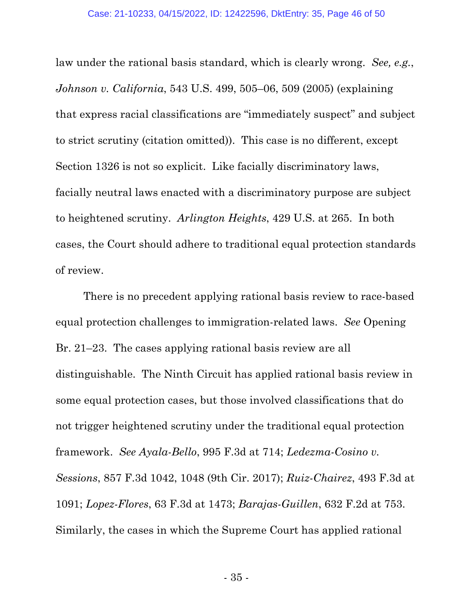law under the rational basis standard, which is clearly wrong. *See, e.g.*, *Johnson v. California*, 543 U.S. 499, 505–06, 509 (2005) (explaining that express racial classifications are "immediately suspect" and subject to strict scrutiny (citation omitted)). This case is no different, except Section 1326 is not so explicit. Like facially discriminatory laws, facially neutral laws enacted with a discriminatory purpose are subject to heightened scrutiny. *Arlington Heights*, 429 U.S. at 265. In both cases, the Court should adhere to traditional equal protection standards of review.

There is no precedent applying rational basis review to race-based equal protection challenges to immigration-related laws. *See* Opening Br. 21–23. The cases applying rational basis review are all distinguishable. The Ninth Circuit has applied rational basis review in some equal protection cases, but those involved classifications that do not trigger heightened scrutiny under the traditional equal protection framework. *See Ayala-Bello*, 995 F.3d at 714; *Ledezma-Cosino v. Sessions*, 857 F.3d 1042, 1048 (9th Cir. 2017); *Ruiz-Chairez*, 493 F.3d at 1091; *Lopez-Flores*, 63 F.3d at 1473; *Barajas-Guillen*, 632 F.2d at 753. Similarly, the cases in which the Supreme Court has applied rational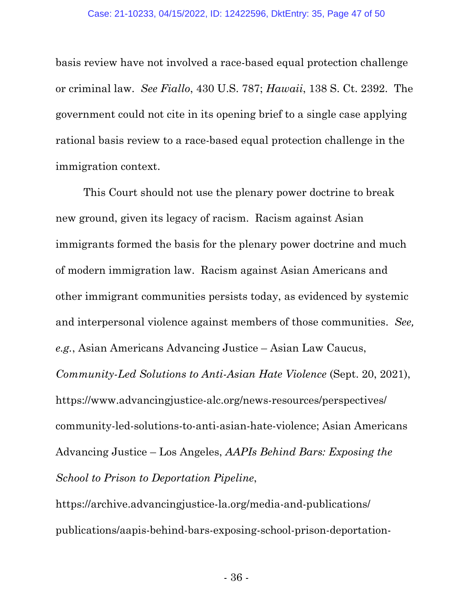basis review have not involved a race-based equal protection challenge or criminal law. *See Fiallo*, 430 U.S. 787; *Hawaii*, 138 S. Ct. 2392. The government could not cite in its opening brief to a single case applying rational basis review to a race-based equal protection challenge in the immigration context.

This Court should not use the plenary power doctrine to break new ground, given its legacy of racism. Racism against Asian immigrants formed the basis for the plenary power doctrine and much of modern immigration law. Racism against Asian Americans and other immigrant communities persists today, as evidenced by systemic and interpersonal violence against members of those communities. *See, e.g.*, Asian Americans Advancing Justice – Asian Law Caucus, *Community-Led Solutions to Anti-Asian Hate Violence* (Sept. 20, 2021), https://www.advancingjustice-alc.org/news-resources/perspectives/ community-led-solutions-to-anti-asian-hate-violence; Asian Americans Advancing Justice – Los Angeles, *AAPIs Behind Bars: Exposing the School to Prison to Deportation Pipeline*,

https://archive.advancingjustice-la.org/media-and-publications/ publications/aapis-behind-bars-exposing-school-prison-deportation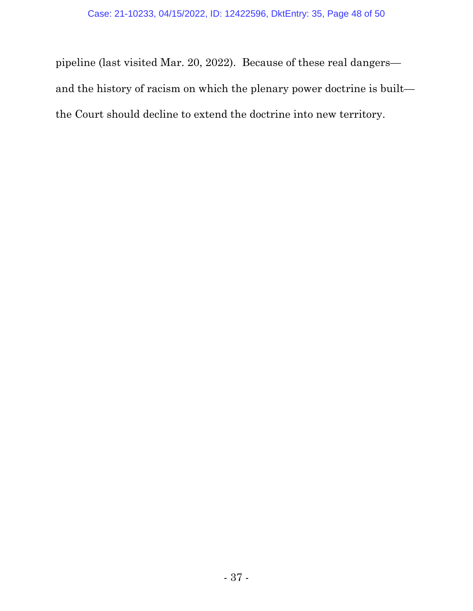pipeline (last visited Mar. 20, 2022). Because of these real dangers and the history of racism on which the plenary power doctrine is built the Court should decline to extend the doctrine into new territory.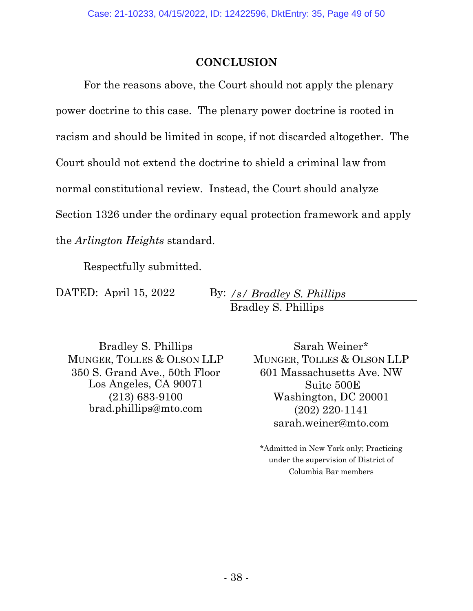### **CONCLUSION**

For the reasons above, the Court should not apply the plenary power doctrine to this case. The plenary power doctrine is rooted in racism and should be limited in scope, if not discarded altogether. The Court should not extend the doctrine to shield a criminal law from normal constitutional review. Instead, the Court should analyze Section 1326 under the ordinary equal protection framework and apply the *Arlington Heights* standard.

Respectfully submitted.

DATED: April 15, 2022 By: */s/ Bradley S. Phillips* Bradley S. Phillips

Bradley S. Phillips MUNGER, TOLLES & OLSON LLP 350 S. Grand Ave., 50th Floor Los Angeles, CA 90071 (213) 683-9100 brad.phillips@mto.com

Sarah Weiner\* MUNGER, TOLLES & OLSON LLP 601 Massachusetts Ave. NW Suite 500E Washington, DC 20001 (202) 220-1141 sarah.weiner@mto.com

\*Admitted in New York only; Practicing under the supervision of District of Columbia Bar members